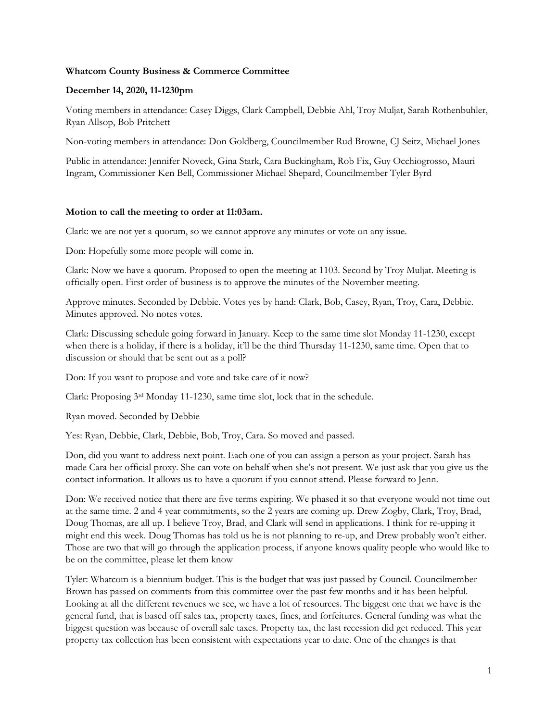# **Whatcom County Business & Commerce Committee**

## **December 14, 2020, 11-1230pm**

Voting members in attendance: Casey Diggs, Clark Campbell, Debbie Ahl, Troy Muljat, Sarah Rothenbuhler, Ryan Allsop, Bob Pritchett

Non-voting members in attendance: Don Goldberg, Councilmember Rud Browne, CJ Seitz, Michael Jones

Public in attendance: Jennifer Noveck, Gina Stark, Cara Buckingham, Rob Fix, Guy Occhiogrosso, Mauri Ingram, Commissioner Ken Bell, Commissioner Michael Shepard, Councilmember Tyler Byrd

#### **Motion to call the meeting to order at 11:03am.**

Clark: we are not yet a quorum, so we cannot approve any minutes or vote on any issue.

Don: Hopefully some more people will come in.

Clark: Now we have a quorum. Proposed to open the meeting at 1103. Second by Troy Muljat. Meeting is officially open. First order of business is to approve the minutes of the November meeting.

Approve minutes. Seconded by Debbie. Votes yes by hand: Clark, Bob, Casey, Ryan, Troy, Cara, Debbie. Minutes approved. No notes votes.

Clark: Discussing schedule going forward in January. Keep to the same time slot Monday 11-1230, except when there is a holiday, if there is a holiday, it'll be the third Thursday 11-1230, same time. Open that to discussion or should that be sent out as a poll?

Don: If you want to propose and vote and take care of it now?

Clark: Proposing 3rd Monday 11-1230, same time slot, lock that in the schedule.

Ryan moved. Seconded by Debbie

Yes: Ryan, Debbie, Clark, Debbie, Bob, Troy, Cara. So moved and passed.

Don, did you want to address next point. Each one of you can assign a person as your project. Sarah has made Cara her official proxy. She can vote on behalf when she's not present. We just ask that you give us the contact information. It allows us to have a quorum if you cannot attend. Please forward to Jenn.

Don: We received notice that there are five terms expiring. We phased it so that everyone would not time out at the same time. 2 and 4 year commitments, so the 2 years are coming up. Drew Zogby, Clark, Troy, Brad, Doug Thomas, are all up. I believe Troy, Brad, and Clark will send in applications. I think for re-upping it might end this week. Doug Thomas has told us he is not planning to re-up, and Drew probably won't either. Those are two that will go through the application process, if anyone knows quality people who would like to be on the committee, please let them know

Tyler: Whatcom is a biennium budget. This is the budget that was just passed by Council. Councilmember Brown has passed on comments from this committee over the past few months and it has been helpful. Looking at all the different revenues we see, we have a lot of resources. The biggest one that we have is the general fund, that is based off sales tax, property taxes, fines, and forfeitures. General funding was what the biggest question was because of overall sale taxes. Property tax, the last recession did get reduced. This year property tax collection has been consistent with expectations year to date. One of the changes is that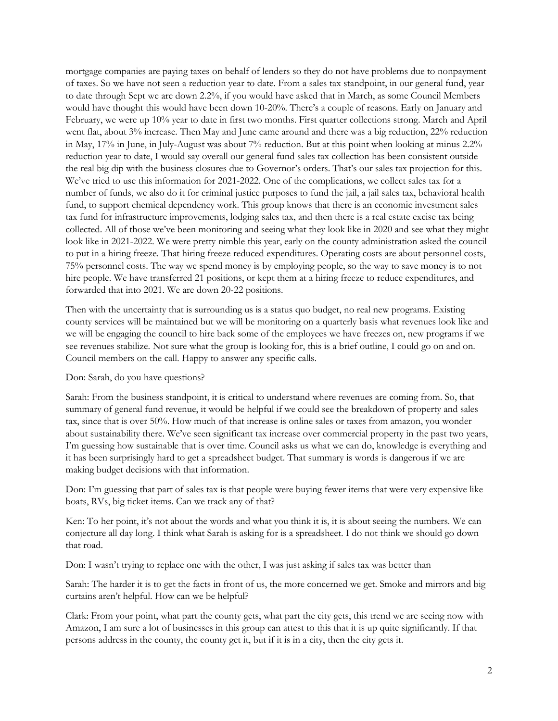mortgage companies are paying taxes on behalf of lenders so they do not have problems due to nonpayment of taxes. So we have not seen a reduction year to date. From a sales tax standpoint, in our general fund, year to date through Sept we are down 2.2%, if you would have asked that in March, as some Council Members would have thought this would have been down 10-20%. There's a couple of reasons. Early on January and February, we were up 10% year to date in first two months. First quarter collections strong. March and April went flat, about 3% increase. Then May and June came around and there was a big reduction, 22% reduction in May, 17% in June, in July-August was about 7% reduction. But at this point when looking at minus 2.2% reduction year to date, I would say overall our general fund sales tax collection has been consistent outside the real big dip with the business closures due to Governor's orders. That's our sales tax projection for this. We've tried to use this information for 2021-2022. One of the complications, we collect sales tax for a number of funds, we also do it for criminal justice purposes to fund the jail, a jail sales tax, behavioral health fund, to support chemical dependency work. This group knows that there is an economic investment sales tax fund for infrastructure improvements, lodging sales tax, and then there is a real estate excise tax being collected. All of those we've been monitoring and seeing what they look like in 2020 and see what they might look like in 2021-2022. We were pretty nimble this year, early on the county administration asked the council to put in a hiring freeze. That hiring freeze reduced expenditures. Operating costs are about personnel costs, 75% personnel costs. The way we spend money is by employing people, so the way to save money is to not hire people. We have transferred 21 positions, or kept them at a hiring freeze to reduce expenditures, and forwarded that into 2021. We are down 20-22 positions.

Then with the uncertainty that is surrounding us is a status quo budget, no real new programs. Existing county services will be maintained but we will be monitoring on a quarterly basis what revenues look like and we will be engaging the council to hire back some of the employees we have freezes on, new programs if we see revenues stabilize. Not sure what the group is looking for, this is a brief outline, I could go on and on. Council members on the call. Happy to answer any specific calls.

## Don: Sarah, do you have questions?

Sarah: From the business standpoint, it is critical to understand where revenues are coming from. So, that summary of general fund revenue, it would be helpful if we could see the breakdown of property and sales tax, since that is over 50%. How much of that increase is online sales or taxes from amazon, you wonder about sustainability there. We've seen significant tax increase over commercial property in the past two years, I'm guessing how sustainable that is over time. Council asks us what we can do, knowledge is everything and it has been surprisingly hard to get a spreadsheet budget. That summary is words is dangerous if we are making budget decisions with that information.

Don: I'm guessing that part of sales tax is that people were buying fewer items that were very expensive like boats, RVs, big ticket items. Can we track any of that?

Ken: To her point, it's not about the words and what you think it is, it is about seeing the numbers. We can conjecture all day long. I think what Sarah is asking for is a spreadsheet. I do not think we should go down that road.

Don: I wasn't trying to replace one with the other, I was just asking if sales tax was better than

Sarah: The harder it is to get the facts in front of us, the more concerned we get. Smoke and mirrors and big curtains aren't helpful. How can we be helpful?

Clark: From your point, what part the county gets, what part the city gets, this trend we are seeing now with Amazon, I am sure a lot of businesses in this group can attest to this that it is up quite significantly. If that persons address in the county, the county get it, but if it is in a city, then the city gets it.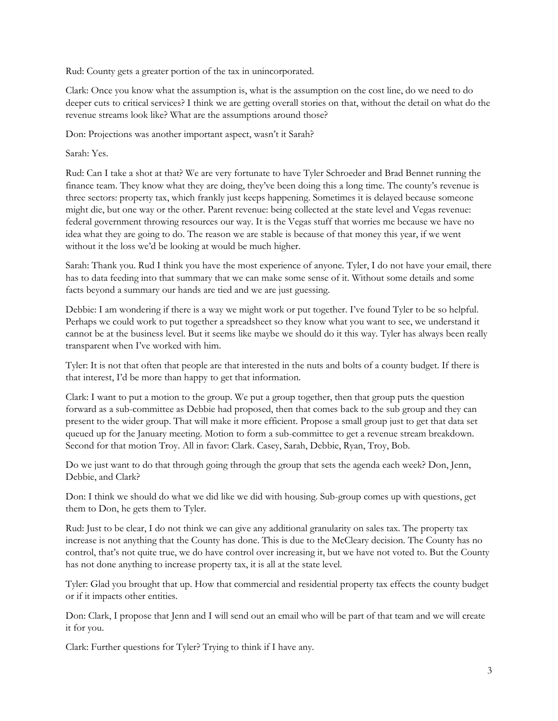Rud: County gets a greater portion of the tax in unincorporated.

Clark: Once you know what the assumption is, what is the assumption on the cost line, do we need to do deeper cuts to critical services? I think we are getting overall stories on that, without the detail on what do the revenue streams look like? What are the assumptions around those?

Don: Projections was another important aspect, wasn't it Sarah?

Sarah: Yes.

Rud: Can I take a shot at that? We are very fortunate to have Tyler Schroeder and Brad Bennet running the finance team. They know what they are doing, they've been doing this a long time. The county's revenue is three sectors: property tax, which frankly just keeps happening. Sometimes it is delayed because someone might die, but one way or the other. Parent revenue: being collected at the state level and Vegas revenue: federal government throwing resources our way. It is the Vegas stuff that worries me because we have no idea what they are going to do. The reason we are stable is because of that money this year, if we went without it the loss we'd be looking at would be much higher.

Sarah: Thank you. Rud I think you have the most experience of anyone. Tyler, I do not have your email, there has to data feeding into that summary that we can make some sense of it. Without some details and some facts beyond a summary our hands are tied and we are just guessing.

Debbie: I am wondering if there is a way we might work or put together. I've found Tyler to be so helpful. Perhaps we could work to put together a spreadsheet so they know what you want to see, we understand it cannot be at the business level. But it seems like maybe we should do it this way. Tyler has always been really transparent when I've worked with him.

Tyler: It is not that often that people are that interested in the nuts and bolts of a county budget. If there is that interest, I'd be more than happy to get that information.

Clark: I want to put a motion to the group. We put a group together, then that group puts the question forward as a sub-committee as Debbie had proposed, then that comes back to the sub group and they can present to the wider group. That will make it more efficient. Propose a small group just to get that data set queued up for the January meeting. Motion to form a sub-committee to get a revenue stream breakdown. Second for that motion Troy. All in favor: Clark. Casey, Sarah, Debbie, Ryan, Troy, Bob.

Do we just want to do that through going through the group that sets the agenda each week? Don, Jenn, Debbie, and Clark?

Don: I think we should do what we did like we did with housing. Sub-group comes up with questions, get them to Don, he gets them to Tyler.

Rud: Just to be clear, I do not think we can give any additional granularity on sales tax. The property tax increase is not anything that the County has done. This is due to the McCleary decision. The County has no control, that's not quite true, we do have control over increasing it, but we have not voted to. But the County has not done anything to increase property tax, it is all at the state level.

Tyler: Glad you brought that up. How that commercial and residential property tax effects the county budget or if it impacts other entities.

Don: Clark, I propose that Jenn and I will send out an email who will be part of that team and we will create it for you.

Clark: Further questions for Tyler? Trying to think if I have any.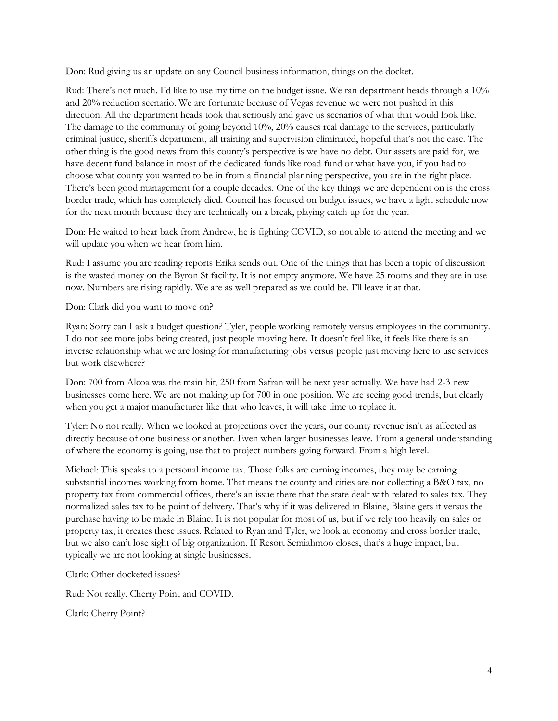Don: Rud giving us an update on any Council business information, things on the docket.

Rud: There's not much. I'd like to use my time on the budget issue. We ran department heads through a 10% and 20% reduction scenario. We are fortunate because of Vegas revenue we were not pushed in this direction. All the department heads took that seriously and gave us scenarios of what that would look like. The damage to the community of going beyond 10%, 20% causes real damage to the services, particularly criminal justice, sheriffs department, all training and supervision eliminated, hopeful that's not the case. The other thing is the good news from this county's perspective is we have no debt. Our assets are paid for, we have decent fund balance in most of the dedicated funds like road fund or what have you, if you had to choose what county you wanted to be in from a financial planning perspective, you are in the right place. There's been good management for a couple decades. One of the key things we are dependent on is the cross border trade, which has completely died. Council has focused on budget issues, we have a light schedule now for the next month because they are technically on a break, playing catch up for the year.

Don: He waited to hear back from Andrew, he is fighting COVID, so not able to attend the meeting and we will update you when we hear from him.

Rud: I assume you are reading reports Erika sends out. One of the things that has been a topic of discussion is the wasted money on the Byron St facility. It is not empty anymore. We have 25 rooms and they are in use now. Numbers are rising rapidly. We are as well prepared as we could be. I'll leave it at that.

Don: Clark did you want to move on?

Ryan: Sorry can I ask a budget question? Tyler, people working remotely versus employees in the community. I do not see more jobs being created, just people moving here. It doesn't feel like, it feels like there is an inverse relationship what we are losing for manufacturing jobs versus people just moving here to use services but work elsewhere?

Don: 700 from Alcoa was the main hit, 250 from Safran will be next year actually. We have had 2-3 new businesses come here. We are not making up for 700 in one position. We are seeing good trends, but clearly when you get a major manufacturer like that who leaves, it will take time to replace it.

Tyler: No not really. When we looked at projections over the years, our county revenue isn't as affected as directly because of one business or another. Even when larger businesses leave. From a general understanding of where the economy is going, use that to project numbers going forward. From a high level.

Michael: This speaks to a personal income tax. Those folks are earning incomes, they may be earning substantial incomes working from home. That means the county and cities are not collecting a B&O tax, no property tax from commercial offices, there's an issue there that the state dealt with related to sales tax. They normalized sales tax to be point of delivery. That's why if it was delivered in Blaine, Blaine gets it versus the purchase having to be made in Blaine. It is not popular for most of us, but if we rely too heavily on sales or property tax, it creates these issues. Related to Ryan and Tyler, we look at economy and cross border trade, but we also can't lose sight of big organization. If Resort Semiahmoo closes, that's a huge impact, but typically we are not looking at single businesses.

Clark: Other docketed issues?

Rud: Not really. Cherry Point and COVID.

Clark: Cherry Point?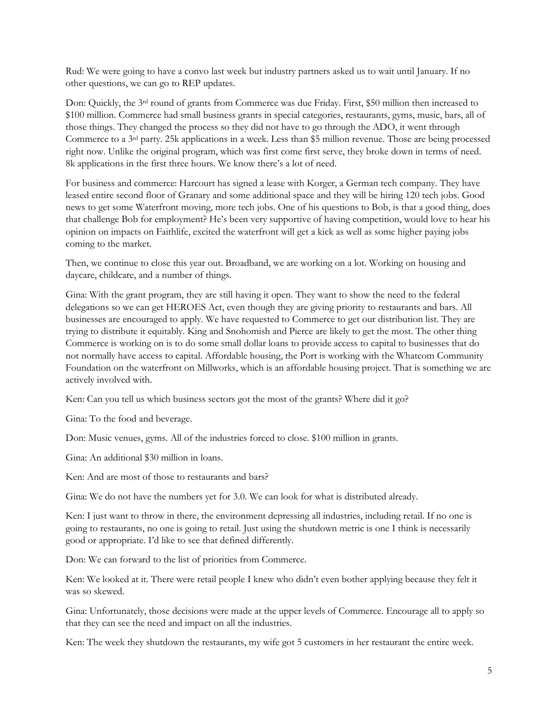Rud: We were going to have a convo last week but industry partners asked us to wait until January. If no other questions, we can go to REP updates.

Don: Quickly, the 3rd round of grants from Commerce was due Friday. First, \$50 million then increased to \$100 million. Commerce had small business grants in special categories, restaurants, gyms, music, bars, all of those things. They changed the process so they did not have to go through the ADO, it went through Commerce to a 3rd party. 25k applications in a week. Less than \$5 million revenue. Those are being processed right now. Unlike the original program, which was first come first serve, they broke down in terms of need. 8k applications in the first three hours. We know there's a lot of need.

For business and commerce: Harcourt has signed a lease with Korger, a German tech company. They have leased entire second floor of Granary and some additional space and they will be hiring 120 tech jobs. Good news to get some Waterfront moving, more tech jobs. One of his questions to Bob, is that a good thing, does that challenge Bob for employment? He's been very supportive of having competition, would love to hear his opinion on impacts on Faithlife, excited the waterfront will get a kick as well as some higher paying jobs coming to the market.

Then, we continue to close this year out. Broadband, we are working on a lot. Working on housing and daycare, childcare, and a number of things.

Gina: With the grant program, they are still having it open. They want to show the need to the federal delegations so we can get HEROES Act, even though they are giving priority to restaurants and bars. All businesses are encouraged to apply. We have requested to Commerce to get our distribution list. They are trying to distribute it equitably. King and Snohomish and Pierce are likely to get the most. The other thing Commerce is working on is to do some small dollar loans to provide access to capital to businesses that do not normally have access to capital. Affordable housing, the Port is working with the Whatcom Community Foundation on the waterfront on Millworks, which is an affordable housing project. That is something we are actively involved with.

Ken: Can you tell us which business sectors got the most of the grants? Where did it go?

Gina: To the food and beverage.

Don: Music venues, gyms. All of the industries forced to close. \$100 million in grants.

Gina: An additional \$30 million in loans.

Ken: And are most of those to restaurants and bars?

Gina: We do not have the numbers yet for 3.0. We can look for what is distributed already.

Ken: I just want to throw in there, the environment depressing all industries, including retail. If no one is going to restaurants, no one is going to retail. Just using the shutdown metric is one I think is necessarily good or appropriate. I'd like to see that defined differently.

Don: We can forward to the list of priorities from Commerce.

Ken: We looked at it. There were retail people I knew who didn't even bother applying because they felt it was so skewed.

Gina: Unfortunately, those decisions were made at the upper levels of Commerce. Encourage all to apply so that they can see the need and impact on all the industries.

Ken: The week they shutdown the restaurants, my wife got 5 customers in her restaurant the entire week.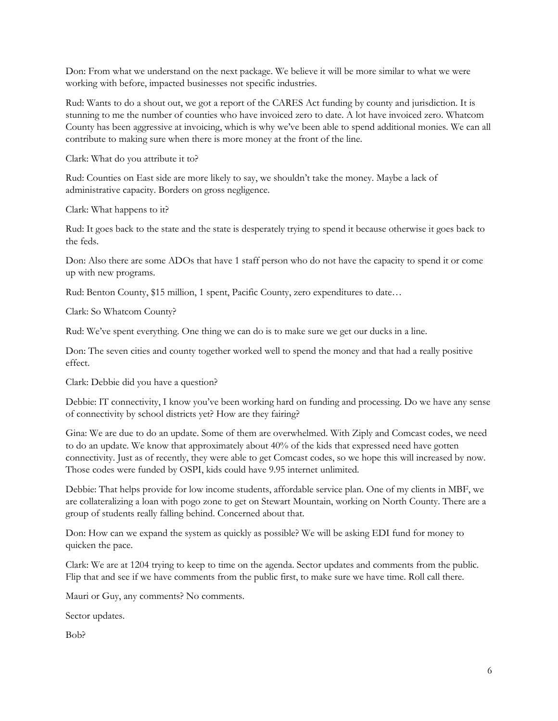Don: From what we understand on the next package. We believe it will be more similar to what we were working with before, impacted businesses not specific industries.

Rud: Wants to do a shout out, we got a report of the CARES Act funding by county and jurisdiction. It is stunning to me the number of counties who have invoiced zero to date. A lot have invoiced zero. Whatcom County has been aggressive at invoicing, which is why we've been able to spend additional monies. We can all contribute to making sure when there is more money at the front of the line.

Clark: What do you attribute it to?

Rud: Counties on East side are more likely to say, we shouldn't take the money. Maybe a lack of administrative capacity. Borders on gross negligence.

Clark: What happens to it?

Rud: It goes back to the state and the state is desperately trying to spend it because otherwise it goes back to the feds.

Don: Also there are some ADOs that have 1 staff person who do not have the capacity to spend it or come up with new programs.

Rud: Benton County, \$15 million, 1 spent, Pacific County, zero expenditures to date…

Clark: So Whatcom County?

Rud: We've spent everything. One thing we can do is to make sure we get our ducks in a line.

Don: The seven cities and county together worked well to spend the money and that had a really positive effect.

Clark: Debbie did you have a question?

Debbie: IT connectivity, I know you've been working hard on funding and processing. Do we have any sense of connectivity by school districts yet? How are they fairing?

Gina: We are due to do an update. Some of them are overwhelmed. With Ziply and Comcast codes, we need to do an update. We know that approximately about 40% of the kids that expressed need have gotten connectivity. Just as of recently, they were able to get Comcast codes, so we hope this will increased by now. Those codes were funded by OSPI, kids could have 9.95 internet unlimited.

Debbie: That helps provide for low income students, affordable service plan. One of my clients in MBF, we are collateralizing a loan with pogo zone to get on Stewart Mountain, working on North County. There are a group of students really falling behind. Concerned about that.

Don: How can we expand the system as quickly as possible? We will be asking EDI fund for money to quicken the pace.

Clark: We are at 1204 trying to keep to time on the agenda. Sector updates and comments from the public. Flip that and see if we have comments from the public first, to make sure we have time. Roll call there.

Mauri or Guy, any comments? No comments.

Sector updates.

Bob?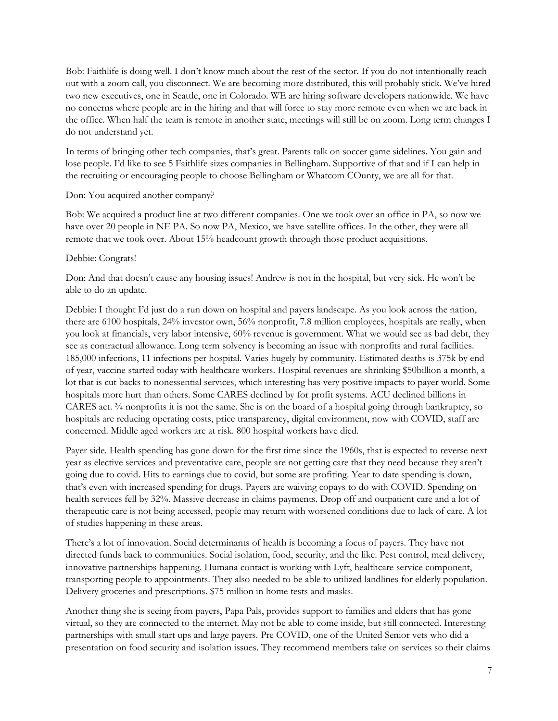Bob: Faithlife is doing well. I don't know much about the rest of the sector. If you do not intentionally reach out with a zoom call, you disconnect. We are becoming more distributed, this will probably stick. We've hired two new executives, one in Seattle, one in Colorado. WE are hiring software developers nationwide. We have no concerns where people are in the hiring and that will force to stay more remote even when we are back in the office. When half the team is remote in another state, meetings will still be on zoom. Long term changes I do not understand yet.

In terms of bringing other tech companies, that's great. Parents talk on soccer game sidelines. You gain and lose people. I'd like to see 5 Faithlife sizes companies in Bellingham. Supportive of that and if I can help in the recruiting or encouraging people to choose Bellingham or Whatcom COunty, we are all for that.

#### Don: You acquired another company?

Bob: We acquired a product line at two different companies. One we took over an office in PA, so now we have over 20 people in NE PA. So now PA, Mexico, we have satellite offices. In the other, they were all remote that we took over. About 15% headcount growth through those product acquisitions.

#### Debbie: Congrats!

Don: And that doesn't cause any housing issues! Andrew is not in the hospital, but very sick. He won't be able to do an update.

Debbie: I thought I'd just do a run down on hospital and payers landscape. As you look across the nation, there are 6100 hospitals, 24% investor own, 56% nonprofit, 7.8 million employees, hospitals are really, when you look at financials, very labor intensive, 60% revenue is government. What we would see as bad debt, they see as contractual allowance. Long term solvency is becoming an issue with nonprofits and rural facilities. 185,000 infections, 11 infections per hospital. Varies hugely by community. Estimated deaths is 375k by end of year, vaccine started today with healthcare workers. Hospital revenues are shrinking \$50billion a month, a lot that is cut backs to nonessential services, which interesting has very positive impacts to payer world. Some hospitals more hurt than others. Some CARES declined by for profit systems. ACU declined billions in CARES act.  $\frac{3}{4}$  nonprofits it is not the same. She is on the board of a hospital going through bankruptcy, so hospitals are reducing operating costs, price transparency, digital environment, now with COVID, staff are concerned. Middle aged workers are at risk. 800 hospital workers have died.

Payer side. Health spending has gone down for the first time since the 1960s, that is expected to reverse next year as elective services and preventative care, people are not getting care that they need because they aren't going due to covid. Hits to earnings due to covid, but some are profiting. Year to date spending is down, that's even with increased spending for drugs. Payers are waiving copays to do with COVID. Spending on health services fell by 32%. Massive decrease in claims payments. Drop off and outpatient care and a lot of therapeutic care is not being accessed, people may return with worsened conditions due to lack of care. A lot of studies happening in these areas.

There's a lot of innovation. Social determinants of health is becoming a focus of payers. They have not directed funds back to communities. Social isolation, food, security, and the like. Pest control, meal delivery, innovative partnerships happening. Humana contact is working with Lyft, healthcare service component, transporting people to appointments. They also needed to be able to utilized landlines for elderly population. Delivery groceries and prescriptions. \$75 million in home tests and masks.

Another thing she is seeing from payers, Papa Pals, provides support to families and elders that has gone virtual, so they are connected to the internet. May not be able to come inside, but still connected. Interesting partnerships with small start ups and large payers. Pre COVID, one of the United Senior vets who did a presentation on food security and isolation issues. They recommend members take on services so their claims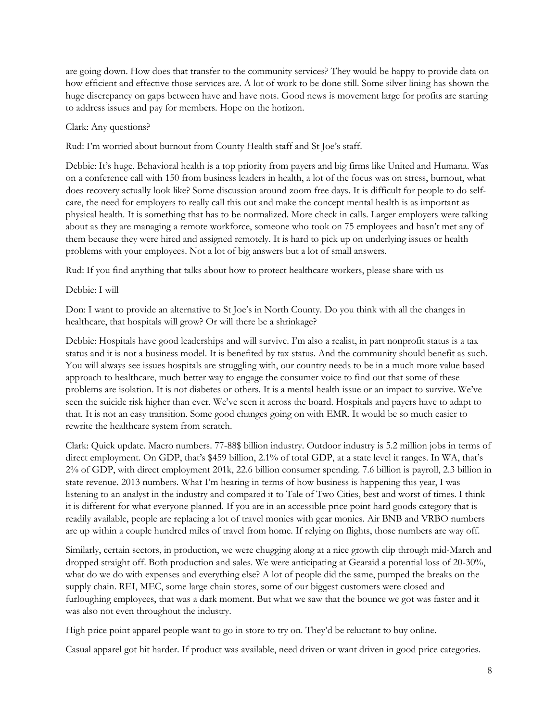are going down. How does that transfer to the community services? They would be happy to provide data on how efficient and effective those services are. A lot of work to be done still. Some silver lining has shown the huge discrepancy on gaps between have and have nots. Good news is movement large for profits are starting to address issues and pay for members. Hope on the horizon.

## Clark: Any questions?

Rud: I'm worried about burnout from County Health staff and St Joe's staff.

Debbie: It's huge. Behavioral health is a top priority from payers and big firms like United and Humana. Was on a conference call with 150 from business leaders in health, a lot of the focus was on stress, burnout, what does recovery actually look like? Some discussion around zoom free days. It is difficult for people to do selfcare, the need for employers to really call this out and make the concept mental health is as important as physical health. It is something that has to be normalized. More check in calls. Larger employers were talking about as they are managing a remote workforce, someone who took on 75 employees and hasn't met any of them because they were hired and assigned remotely. It is hard to pick up on underlying issues or health problems with your employees. Not a lot of big answers but a lot of small answers.

Rud: If you find anything that talks about how to protect healthcare workers, please share with us

#### Debbie: I will

Don: I want to provide an alternative to St Joe's in North County. Do you think with all the changes in healthcare, that hospitals will grow? Or will there be a shrinkage?

Debbie: Hospitals have good leaderships and will survive. I'm also a realist, in part nonprofit status is a tax status and it is not a business model. It is benefited by tax status. And the community should benefit as such. You will always see issues hospitals are struggling with, our country needs to be in a much more value based approach to healthcare, much better way to engage the consumer voice to find out that some of these problems are isolation. It is not diabetes or others. It is a mental health issue or an impact to survive. We've seen the suicide risk higher than ever. We've seen it across the board. Hospitals and payers have to adapt to that. It is not an easy transition. Some good changes going on with EMR. It would be so much easier to rewrite the healthcare system from scratch.

Clark: Quick update. Macro numbers. 77-88\$ billion industry. Outdoor industry is 5.2 million jobs in terms of direct employment. On GDP, that's \$459 billion, 2.1% of total GDP, at a state level it ranges. In WA, that's 2% of GDP, with direct employment 201k, 22.6 billion consumer spending. 7.6 billion is payroll, 2.3 billion in state revenue. 2013 numbers. What I'm hearing in terms of how business is happening this year, I was listening to an analyst in the industry and compared it to Tale of Two Cities, best and worst of times. I think it is different for what everyone planned. If you are in an accessible price point hard goods category that is readily available, people are replacing a lot of travel monies with gear monies. Air BNB and VRBO numbers are up within a couple hundred miles of travel from home. If relying on flights, those numbers are way off.

Similarly, certain sectors, in production, we were chugging along at a nice growth clip through mid-March and dropped straight off. Both production and sales. We were anticipating at Gearaid a potential loss of 20-30%, what do we do with expenses and everything else? A lot of people did the same, pumped the breaks on the supply chain. REI, MEC, some large chain stores, some of our biggest customers were closed and furloughing employees, that was a dark moment. But what we saw that the bounce we got was faster and it was also not even throughout the industry.

High price point apparel people want to go in store to try on. They'd be reluctant to buy online.

Casual apparel got hit harder. If product was available, need driven or want driven in good price categories.